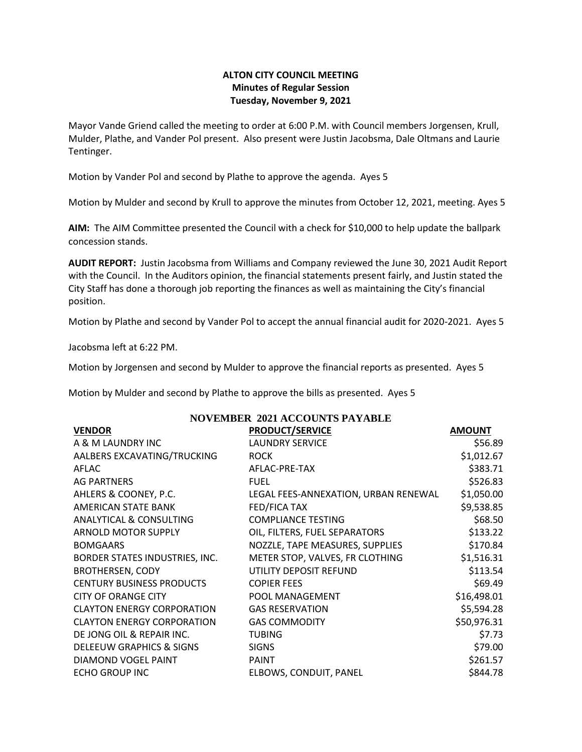## **ALTON CITY COUNCIL MEETING Minutes of Regular Session Tuesday, November 9, 2021**

Mayor Vande Griend called the meeting to order at 6:00 P.M. with Council members Jorgensen, Krull, Mulder, Plathe, and Vander Pol present. Also present were Justin Jacobsma, Dale Oltmans and Laurie Tentinger.

Motion by Vander Pol and second by Plathe to approve the agenda. Ayes 5

Motion by Mulder and second by Krull to approve the minutes from October 12, 2021, meeting. Ayes 5

**AIM:** The AIM Committee presented the Council with a check for \$10,000 to help update the ballpark concession stands.

**AUDIT REPORT:** Justin Jacobsma from Williams and Company reviewed the June 30, 2021 Audit Report with the Council. In the Auditors opinion, the financial statements present fairly, and Justin stated the City Staff has done a thorough job reporting the finances as well as maintaining the City's financial position.

Motion by Plathe and second by Vander Pol to accept the annual financial audit for 2020-2021. Ayes 5

Jacobsma left at 6:22 PM.

Motion by Jorgensen and second by Mulder to approve the financial reports as presented. Ayes 5

Motion by Mulder and second by Plathe to approve the bills as presented. Ayes 5

| <b>NOVEMBER 2021 ACCOUNTS PAYABLE</b> |                                      |               |  |  |
|---------------------------------------|--------------------------------------|---------------|--|--|
| <b>VENDOR</b>                         | <b>PRODUCT/SERVICE</b>               | <b>AMOUNT</b> |  |  |
| A & M LAUNDRY INC                     | <b>LAUNDRY SERVICE</b>               | \$56.89       |  |  |
| AALBERS EXCAVATING/TRUCKING           | <b>ROCK</b>                          | \$1,012.67    |  |  |
| AFLAC                                 | AFLAC-PRE-TAX                        | \$383.71      |  |  |
| <b>AG PARTNERS</b>                    | <b>FUEL</b>                          | \$526.83      |  |  |
| AHLERS & COONEY, P.C.                 | LEGAL FEES-ANNEXATION, URBAN RENEWAL | \$1,050.00    |  |  |
| AMERICAN STATE BANK                   | <b>FED/FICA TAX</b>                  | \$9,538.85    |  |  |
| <b>ANALYTICAL &amp; CONSULTING</b>    | <b>COMPLIANCE TESTING</b>            | \$68.50       |  |  |
| <b>ARNOLD MOTOR SUPPLY</b>            | OIL, FILTERS, FUEL SEPARATORS        | \$133.22      |  |  |
| <b>BOMGAARS</b>                       | NOZZLE, TAPE MEASURES, SUPPLIES      | \$170.84      |  |  |
| BORDER STATES INDUSTRIES, INC.        | METER STOP, VALVES, FR CLOTHING      | \$1,516.31    |  |  |
| <b>BROTHERSEN, CODY</b>               | UTILITY DEPOSIT REFUND               | \$113.54      |  |  |
| <b>CENTURY BUSINESS PRODUCTS</b>      | <b>COPIER FEES</b>                   | \$69.49       |  |  |
| <b>CITY OF ORANGE CITY</b>            | POOL MANAGEMENT                      | \$16,498.01   |  |  |
| <b>CLAYTON ENERGY CORPORATION</b>     | <b>GAS RESERVATION</b>               | \$5,594.28    |  |  |
| <b>CLAYTON ENERGY CORPORATION</b>     | <b>GAS COMMODITY</b>                 | \$50,976.31   |  |  |
| DE JONG OIL & REPAIR INC.             | <b>TUBING</b>                        | \$7.73        |  |  |
| DELEEUW GRAPHICS & SIGNS              | <b>SIGNS</b>                         | \$79.00       |  |  |
| DIAMOND VOGEL PAINT                   | <b>PAINT</b>                         | \$261.57      |  |  |
| <b>ECHO GROUP INC</b>                 | ELBOWS, CONDUIT, PANEL               | \$844.78      |  |  |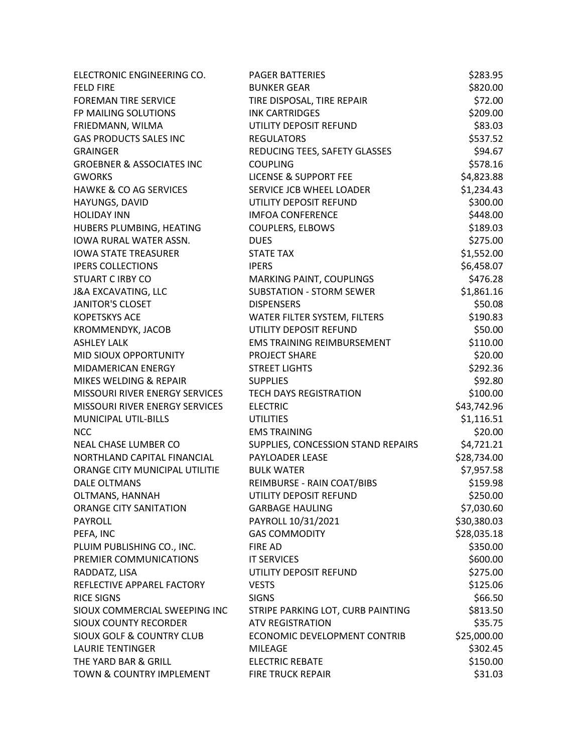| ELECTRONIC ENGINEERING CO.           | <b>PAGER BATTERIES</b>             | \$283.95    |
|--------------------------------------|------------------------------------|-------------|
| <b>FELD FIRE</b>                     | <b>BUNKER GEAR</b>                 | \$820.00    |
| <b>FOREMAN TIRE SERVICE</b>          | TIRE DISPOSAL, TIRE REPAIR         | \$72.00     |
| FP MAILING SOLUTIONS                 | <b>INK CARTRIDGES</b>              | \$209.00    |
| FRIEDMANN, WILMA                     | UTILITY DEPOSIT REFUND             | \$83.03     |
| <b>GAS PRODUCTS SALES INC</b>        | <b>REGULATORS</b>                  | \$537.52    |
| <b>GRAINGER</b>                      | REDUCING TEES, SAFETY GLASSES      | \$94.67     |
| <b>GROEBNER &amp; ASSOCIATES INC</b> | <b>COUPLING</b>                    | \$578.16    |
| <b>GWORKS</b>                        | <b>LICENSE &amp; SUPPORT FEE</b>   | \$4,823.88  |
| HAWKE & CO AG SERVICES               | SERVICE JCB WHEEL LOADER           | \$1,234.43  |
| HAYUNGS, DAVID                       | UTILITY DEPOSIT REFUND             | \$300.00    |
| <b>HOLIDAY INN</b>                   | <b>IMFOA CONFERENCE</b>            | \$448.00    |
| HUBERS PLUMBING, HEATING             | <b>COUPLERS, ELBOWS</b>            | \$189.03    |
| IOWA RURAL WATER ASSN.               | <b>DUES</b>                        | \$275.00    |
| <b>IOWA STATE TREASURER</b>          | <b>STATE TAX</b>                   | \$1,552.00  |
| <b>IPERS COLLECTIONS</b>             | <b>IPERS</b>                       | \$6,458.07  |
| <b>STUART C IRBY CO</b>              | MARKING PAINT, COUPLINGS           | \$476.28    |
| <b>J&amp;A EXCAVATING, LLC</b>       | <b>SUBSTATION - STORM SEWER</b>    | \$1,861.16  |
| <b>JANITOR'S CLOSET</b>              | <b>DISPENSERS</b>                  | \$50.08     |
| <b>KOPETSKYS ACE</b>                 | WATER FILTER SYSTEM, FILTERS       | \$190.83    |
| KROMMENDYK, JACOB                    | UTILITY DEPOSIT REFUND             | \$50.00     |
| <b>ASHLEY LALK</b>                   | <b>EMS TRAINING REIMBURSEMENT</b>  | \$110.00    |
| MID SIOUX OPPORTUNITY                | <b>PROJECT SHARE</b>               | \$20.00     |
| MIDAMERICAN ENERGY                   | <b>STREET LIGHTS</b>               | \$292.36    |
| MIKES WELDING & REPAIR               | <b>SUPPLIES</b>                    | \$92.80     |
| MISSOURI RIVER ENERGY SERVICES       | <b>TECH DAYS REGISTRATION</b>      | \$100.00    |
| MISSOURI RIVER ENERGY SERVICES       | <b>ELECTRIC</b>                    | \$43,742.96 |
| MUNICIPAL UTIL-BILLS                 | <b>UTILITIES</b>                   | \$1,116.51  |
| <b>NCC</b>                           | <b>EMS TRAINING</b>                | \$20.00     |
| NEAL CHASE LUMBER CO                 | SUPPLIES, CONCESSION STAND REPAIRS | \$4,721.21  |
| NORTHLAND CAPITAL FINANCIAL          | PAYLOADER LEASE                    | \$28,734.00 |
| ORANGE CITY MUNICIPAL UTILITIE       | <b>BULK WATER</b>                  | \$7,957.58  |
| <b>DALE OLTMANS</b>                  | REIMBURSE - RAIN COAT/BIBS         | \$159.98    |
| OLTMANS, HANNAH                      | UTILITY DEPOSIT REFUND             | \$250.00    |
| ORANGE CITY SANITATION               | <b>GARBAGE HAULING</b>             | \$7,030.60  |
| <b>PAYROLL</b>                       | PAYROLL 10/31/2021                 | \$30,380.03 |
| PEFA, INC                            | <b>GAS COMMODITY</b>               | \$28,035.18 |
| PLUIM PUBLISHING CO., INC.           | <b>FIRE AD</b>                     | \$350.00    |
| PREMIER COMMUNICATIONS               | <b>IT SERVICES</b>                 | \$600.00    |
| RADDATZ, LISA                        | UTILITY DEPOSIT REFUND             | \$275.00    |
| REFLECTIVE APPAREL FACTORY           | <b>VESTS</b>                       | \$125.06    |
| <b>RICE SIGNS</b>                    | <b>SIGNS</b>                       | \$66.50     |
| SIOUX COMMERCIAL SWEEPING INC        | STRIPE PARKING LOT, CURB PAINTING  | \$813.50    |
| <b>SIOUX COUNTY RECORDER</b>         | <b>ATV REGISTRATION</b>            | \$35.75     |
| <b>SIOUX GOLF &amp; COUNTRY CLUB</b> | ECONOMIC DEVELOPMENT CONTRIB       | \$25,000.00 |
| <b>LAURIE TENTINGER</b>              | <b>MILEAGE</b>                     | \$302.45    |
| THE YARD BAR & GRILL                 | <b>ELECTRIC REBATE</b>             | \$150.00    |
| TOWN & COUNTRY IMPLEMENT             | <b>FIRE TRUCK REPAIR</b>           | \$31.03     |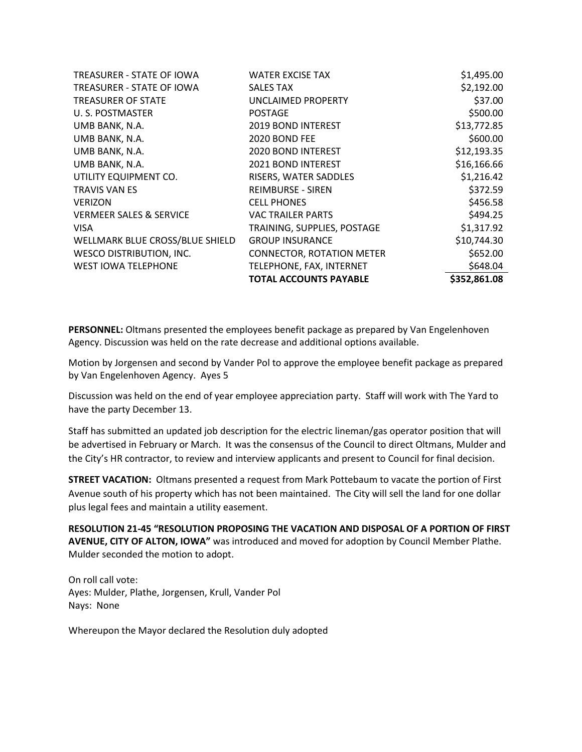| TREASURER - STATE OF IOWA          | <b>WATER EXCISE TAX</b>          | \$1,495.00   |
|------------------------------------|----------------------------------|--------------|
| TREASURER - STATE OF IOWA          | <b>SALES TAX</b>                 | \$2,192.00   |
| <b>TREASURER OF STATE</b>          | <b>UNCLAIMED PROPERTY</b>        | \$37.00      |
| U.S. POSTMASTER                    | <b>POSTAGE</b>                   | \$500.00     |
| UMB BANK, N.A.                     | 2019 BOND INTEREST               | \$13,772.85  |
| UMB BANK, N.A.                     | 2020 BOND FEE                    | \$600.00     |
| UMB BANK, N.A.                     | <b>2020 BOND INTEREST</b>        | \$12,193.35  |
| UMB BANK, N.A.                     | <b>2021 BOND INTEREST</b>        | \$16,166.66  |
| UTILITY EQUIPMENT CO.              | RISERS, WATER SADDLES            | \$1,216.42   |
| <b>TRAVIS VAN ES</b>               | <b>REIMBURSE - SIREN</b>         | \$372.59     |
| <b>VERIZON</b>                     | <b>CELL PHONES</b>               | \$456.58     |
| <b>VERMEER SALES &amp; SERVICE</b> | <b>VAC TRAILER PARTS</b>         | \$494.25     |
| <b>VISA</b>                        | TRAINING, SUPPLIES, POSTAGE      | \$1,317.92   |
| WELLMARK BLUE CROSS/BLUE SHIELD    | <b>GROUP INSURANCE</b>           | \$10,744.30  |
| WESCO DISTRIBUTION, INC.           | <b>CONNECTOR, ROTATION METER</b> | \$652.00     |
| <b>WEST IOWA TELEPHONE</b>         | TELEPHONE, FAX, INTERNET         | \$648.04     |
|                                    | <b>TOTAL ACCOUNTS PAYABLE</b>    | \$352,861.08 |

**PERSONNEL:** Oltmans presented the employees benefit package as prepared by Van Engelenhoven Agency. Discussion was held on the rate decrease and additional options available.

Motion by Jorgensen and second by Vander Pol to approve the employee benefit package as prepared by Van Engelenhoven Agency. Ayes 5

Discussion was held on the end of year employee appreciation party. Staff will work with The Yard to have the party December 13.

Staff has submitted an updated job description for the electric lineman/gas operator position that will be advertised in February or March. It was the consensus of the Council to direct Oltmans, Mulder and the City's HR contractor, to review and interview applicants and present to Council for final decision.

**STREET VACATION:** Oltmans presented a request from Mark Pottebaum to vacate the portion of First Avenue south of his property which has not been maintained. The City will sell the land for one dollar plus legal fees and maintain a utility easement.

**RESOLUTION 21-45 "RESOLUTION PROPOSING THE VACATION AND DISPOSAL OF A PORTION OF FIRST AVENUE, CITY OF ALTON, IOWA"** was introduced and moved for adoption by Council Member Plathe. Mulder seconded the motion to adopt.

On roll call vote: Ayes: Mulder, Plathe, Jorgensen, Krull, Vander Pol Nays: None

Whereupon the Mayor declared the Resolution duly adopted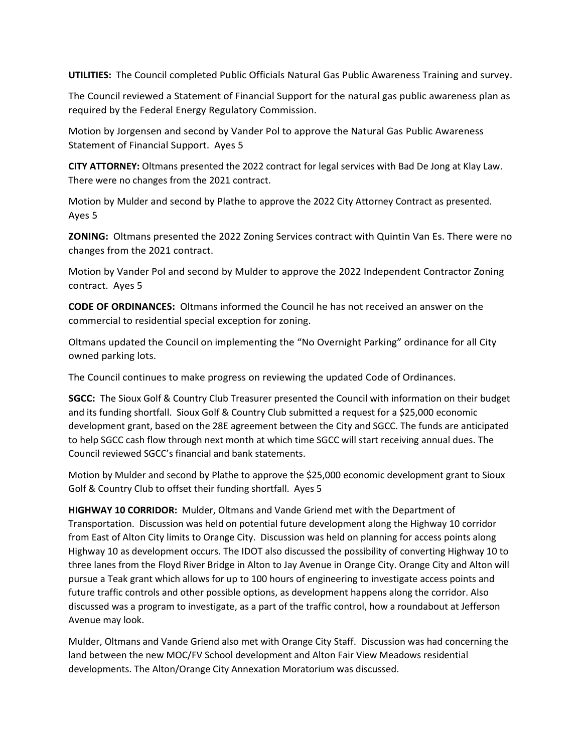**UTILITIES:** The Council completed Public Officials Natural Gas Public Awareness Training and survey.

The Council reviewed a Statement of Financial Support for the natural gas public awareness plan as required by the Federal Energy Regulatory Commission.

Motion by Jorgensen and second by Vander Pol to approve the Natural Gas Public Awareness Statement of Financial Support. Ayes 5

**CITY ATTORNEY:** Oltmans presented the 2022 contract for legal services with Bad De Jong at Klay Law. There were no changes from the 2021 contract.

Motion by Mulder and second by Plathe to approve the 2022 City Attorney Contract as presented. Ayes 5

**ZONING:** Oltmans presented the 2022 Zoning Services contract with Quintin Van Es. There were no changes from the 2021 contract.

Motion by Vander Pol and second by Mulder to approve the 2022 Independent Contractor Zoning contract. Ayes 5

**CODE OF ORDINANCES:** Oltmans informed the Council he has not received an answer on the commercial to residential special exception for zoning.

Oltmans updated the Council on implementing the "No Overnight Parking" ordinance for all City owned parking lots.

The Council continues to make progress on reviewing the updated Code of Ordinances.

**SGCC:** The Sioux Golf & Country Club Treasurer presented the Council with information on their budget and its funding shortfall. Sioux Golf & Country Club submitted a request for a \$25,000 economic development grant, based on the 28E agreement between the City and SGCC. The funds are anticipated to help SGCC cash flow through next month at which time SGCC will start receiving annual dues. The Council reviewed SGCC's financial and bank statements.

Motion by Mulder and second by Plathe to approve the \$25,000 economic development grant to Sioux Golf & Country Club to offset their funding shortfall. Ayes 5

**HIGHWAY 10 CORRIDOR:** Mulder, Oltmans and Vande Griend met with the Department of Transportation. Discussion was held on potential future development along the Highway 10 corridor from East of Alton City limits to Orange City. Discussion was held on planning for access points along Highway 10 as development occurs. The IDOT also discussed the possibility of converting Highway 10 to three lanes from the Floyd River Bridge in Alton to Jay Avenue in Orange City. Orange City and Alton will pursue a Teak grant which allows for up to 100 hours of engineering to investigate access points and future traffic controls and other possible options, as development happens along the corridor. Also discussed was a program to investigate, as a part of the traffic control, how a roundabout at Jefferson Avenue may look.

Mulder, Oltmans and Vande Griend also met with Orange City Staff. Discussion was had concerning the land between the new MOC/FV School development and Alton Fair View Meadows residential developments. The Alton/Orange City Annexation Moratorium was discussed.